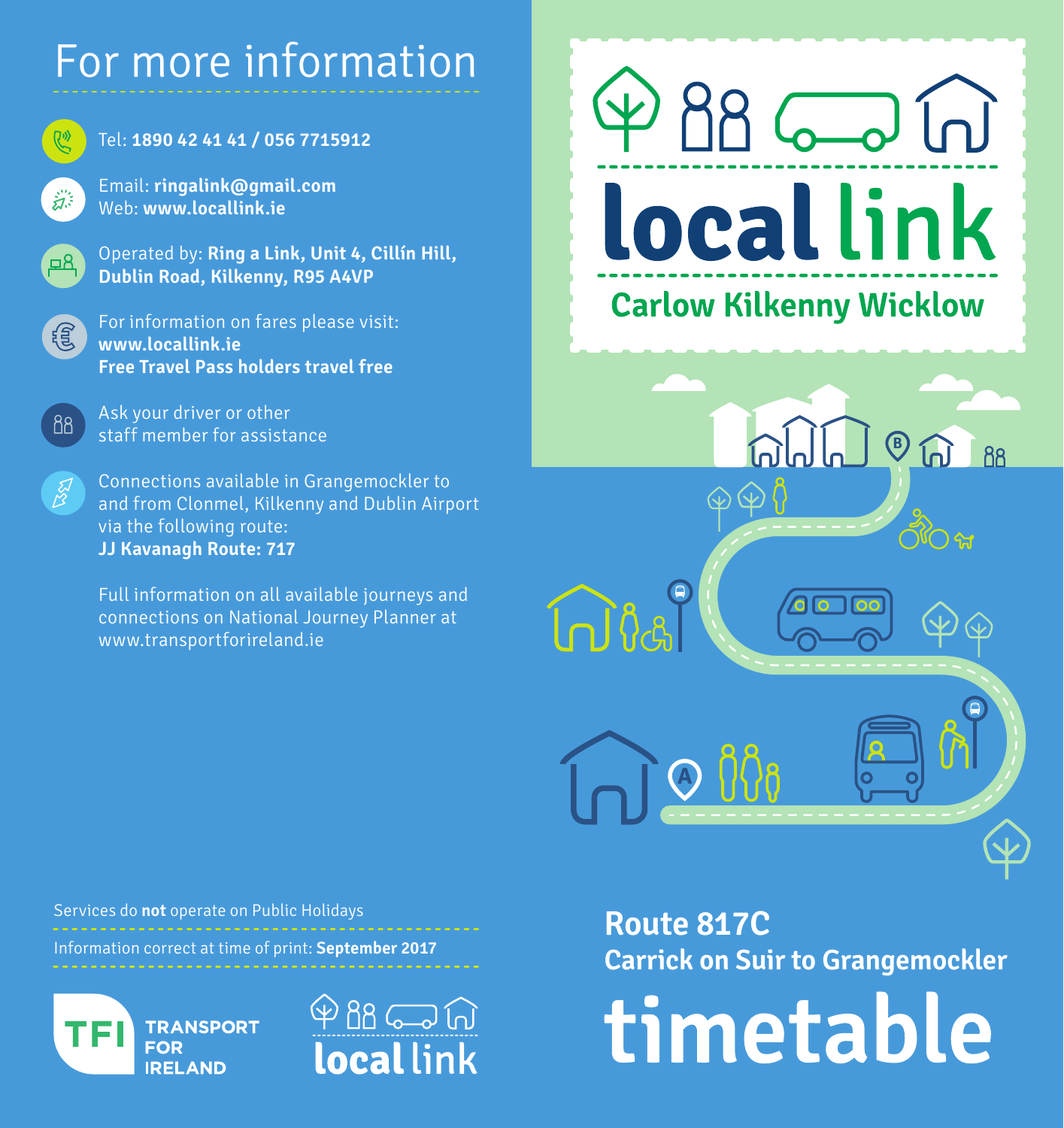# For more information



#### Tel: **1890 42 41 41 / 056 7715912**

Email: **ringalink@gmail.com** Web: **www.locallink.ie**

Operated by: **Ring a Link, Unit 4, Cillín Hill, Dublin Road, Kilkenny, R95 A4VP**



88

 $\mathbb{Z}$ 

For information on fares please visit: **www.locallink.ie Free Travel Pass holders travel free**

Ask your driver or other staff member for assistance

Connections available in Grangemockler to and from Clonmel, Kilkenny and Dublin Airport via the following route: **JJ Kavanagh Route: 717**

Full information on all available journeys and connections on National Journey Planner at www.transportforireland.ie

Services do **not** operate on Public Holidays

Information correct at time of print: **September 2017**





**Route 817C Carrick on Suir to Grangemockler**

**B**

88 60 60

local link

**Carlow Kilkenny Wicklow** 

**A**

timetable